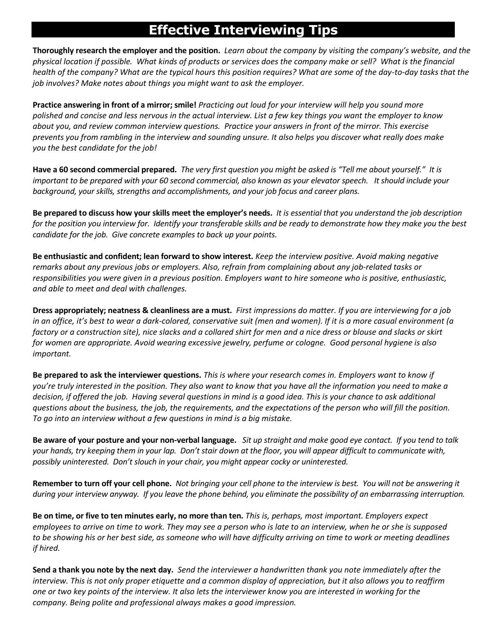## **Effective Interviewing Tips**

 **Thoroughly research the employer and the position.** *Learn about the company by visiting the company's website, and the physical location if possible. What kinds of products or services does the company make or sell? What is the financial health of the company? What are the typical hours this position requires? What are some of the day-to-day tasks that the job involves? Make notes about things you might want to ask the employer.* 

 **Practice answering in front of a mirror; smile!** *Practicing out loud for your interview will help you sound more you the best candidate for the job! polished and concise and less nervous in the actual interview. List a few key things you want the employer to know about you, and review common interview questions. Practice your answers in front of the mirror. This exercise prevents you from rambling in the interview and sounding unsure. It also helps you discover what really does make* 

 **Have a 60 second commercial prepared.** *The very first question you might be asked is "Tell me about yourself." It is important to be prepared with your 60 second commercial, also known as your elevator speech. It should include your background, your skills, strengths and accomplishments, and your job focus and career plans.* 

 **Be prepared to discuss how your skills meet the employer's needs.** *It is essential that you understand the job description for the position you interview for. Identify your transferable skills and be ready to demonstrate how they make you the best candidate for the job. Give concrete examples to back up your points.* 

 **Be enthusiastic and confident; lean forward to show interest.** *Keep the interview positive. Avoid making negative remarks about any previous jobs or employers. Also, refrain from complaining about any job-related tasks or responsibilities you were given in a previous position. Employers want to hire someone who is positive, enthusiastic, and able to meet and deal with challenges.* 

 **Dress appropriately; neatness & cleanliness are a must.** *First impressions do matter. If you are interviewing for a job in an office, it's best to wear a dark-colored, conservative suit (men and women). If it is a more casual environment (a factory or a construction site), nice slacks and a collared shirt for men and a nice dress or blouse and slacks or skirt for women are appropriate. Avoid wearing excessive jewelry, perfume or cologne. Good personal hygiene is also important.* 

 **Be prepared to ask the interviewer questions.** *This is where your research comes in. Employers want to know if you're truly interested in the position. They also want to know that you have all the information you need to make a decision, if offered the job. Having several questions in mind is a good idea. This is your chance to ask additional questions about the business, the job, the requirements, and the expectations of the person who will fill the position. To go into an interview without a few questions in mind is a big mistake.* 

 **Be aware of your posture and your non-verbal language.** *Sit up straight and make good eye contact. If you tend to talk*  your hands, try keeping them in your lap. Don't stair down at the floor, you will appear difficult to communicate with,  *possibly uninterested. Don't slouch in your chair, you might appear cocky or uninterested.* 

 **Remember to turn off your cell phone.** *Not bringing your cell phone to the interview is best. You will not be answering it during your interview anyway. If you leave the phone behind, you eliminate the possibility of an embarrassing interruption.* 

 **Be on time, or five to ten minutes early, no more than ten.** *This is, perhaps, most important. Employers expect if hired. employees to arrive on time to work. They may see a person who is late to an interview, when he or she is supposed to be showing his or her best side, as someone who will have difficulty arriving on time to work or meeting deadlines* 

 **Send a thank you note by the next day.** *Send the interviewer a handwritten thank you note immediately after the interview. This is not only proper etiquette and a common display of appreciation, but it also allows you to reaffirm one or two key points of the interview. It also lets the interviewer know you are interested in working for the company. Being polite and professional always makes a good impression.*